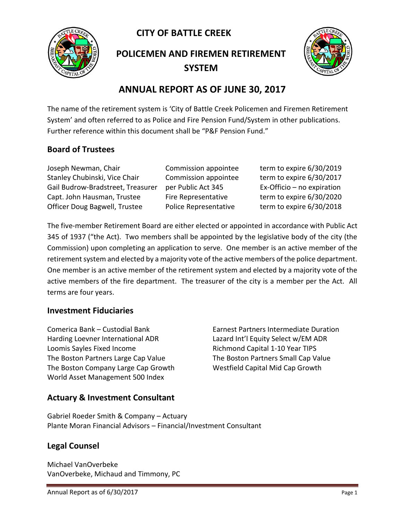**CITY OF BATTLE CREEK** 



**POLICEMEN AND FIREMEN RETIREMENT SYSTEM**



# **ANNUAL REPORT AS OF JUNE 30, 2017**

The name of the retirement system is 'City of Battle Creek Policemen and Firemen Retirement System' and often referred to as Police and Fire Pension Fund/System in other publications. Further reference within this document shall be "P&F Pension Fund."

### **Board of Trustees**

Joseph Newman, Chair Commission appointee term to expire 6/30/2019 Stanley Chubinski, Vice Chair Commission appointee term to expire 6/30/2017 Gail Budrow-Bradstreet, Treasurer per Public Act 345 Ex-Officio – no expiration Capt. John Hausman, Trustee Fire Representative term to expire 6/30/2020 Officer Doug Bagwell, Trustee Police Representative term to expire 6/30/2018

The five-member Retirement Board are either elected or appointed in accordance with Public Act 345 of 1937 ("the Act). Two members shall be appointed by the legislative body of the city (the Commission) upon completing an application to serve. One member is an active member of the retirement system and elected by a majority vote of the active members of the police department. One member is an active member of the retirement system and elected by a majority vote of the active members of the fire department. The treasurer of the city is a member per the Act. All terms are four years.

#### **Investment Fiduciaries**

Comerica Bank – Custodial Bank Earnest Partners Intermediate Duration Harding Loevner International ADR Lazard Int'l Equity Select w/EM ADR Loomis Sayles Fixed Income The Richmond Capital 1-10 Year TIPS The Boston Partners Large Cap Value The Boston Partners Small Cap Value The Boston Company Large Cap Growth Westfield Capital Mid Cap Growth World Asset Management 500 Index

### **Actuary & Investment Consultant**

Gabriel Roeder Smith & Company – Actuary Plante Moran Financial Advisors – Financial/Investment Consultant

### **Legal Counsel**

Michael VanOverbeke VanOverbeke, Michaud and Timmony, PC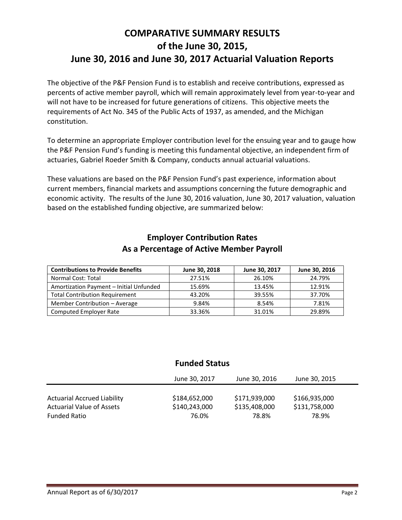# **COMPARATIVE SUMMARY RESULTS of the June 30, 2015, June 30, 2016 and June 30, 2017 Actuarial Valuation Reports**

The objective of the P&F Pension Fund is to establish and receive contributions, expressed as percents of active member payroll, which will remain approximately level from year-to-year and will not have to be increased for future generations of citizens. This objective meets the requirements of Act No. 345 of the Public Acts of 1937, as amended, and the Michigan constitution.

To determine an appropriate Employer contribution level for the ensuing year and to gauge how the P&F Pension Fund's funding is meeting this fundamental objective, an independent firm of actuaries, Gabriel Roeder Smith & Company, conducts annual actuarial valuations.

These valuations are based on the P&F Pension Fund's past experience, information about current members, financial markets and assumptions concerning the future demographic and economic activity. The results of the June 30, 2016 valuation, June 30, 2017 valuation, valuation based on the established funding objective, are summarized below:

| <b>Contributions to Provide Benefits</b> | June 30, 2018 | June 30, 2017 | June 30, 2016 |
|------------------------------------------|---------------|---------------|---------------|
| Normal Cost: Total                       | 27.51%        | 26.10%        | 24.79%        |
| Amortization Payment - Initial Unfunded  | 15.69%        | 13.45%        | 12.91%        |
| <b>Total Contribution Requirement</b>    | 43.20%        | 39.55%        | 37.70%        |
| Member Contribution - Average            | 9.84%         | 8.54%         | 7.81%         |
| <b>Computed Employer Rate</b>            | 33.36%        | 31.01%        | 29.89%        |

### **Employer Contribution Rates As a Percentage of Active Member Payroll**

### **Funded Status**

|                                                                        | June 30, 2017                  | June 30, 2016                  | June 30, 2015                  |  |
|------------------------------------------------------------------------|--------------------------------|--------------------------------|--------------------------------|--|
| <b>Actuarial Accrued Liability</b><br><b>Actuarial Value of Assets</b> | \$184,652,000<br>\$140,243,000 | \$171,939,000<br>\$135,408,000 | \$166,935,000<br>\$131,758,000 |  |
| <b>Funded Ratio</b>                                                    | 76.0%                          | 78.8%                          | 78.9%                          |  |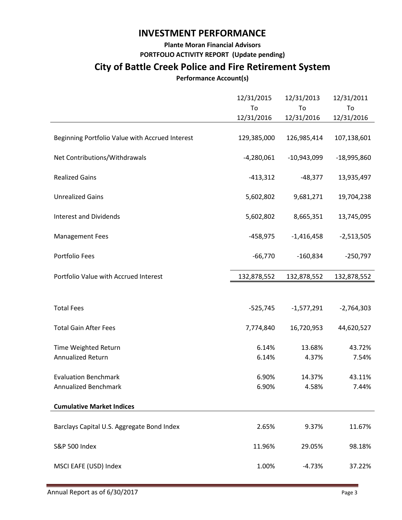### **INVESTMENT PERFORMANCE**

**Plante Moran Financial Advisors**

**PORTFOLIO ACTIVITY REPORT (Update pending)**

# **City of Battle Creek Police and Fire Retirement System**

### **Performance Account(s)**

|                                                 | 12/31/2015<br>To | 12/31/2013<br>To<br>12/31/2016 | 12/31/2011<br>To<br>12/31/2016 |
|-------------------------------------------------|------------------|--------------------------------|--------------------------------|
|                                                 | 12/31/2016       |                                |                                |
| Beginning Portfolio Value with Accrued Interest | 129,385,000      | 126,985,414                    | 107,138,601                    |
| Net Contributions/Withdrawals                   | $-4,280,061$     | $-10,943,099$                  | $-18,995,860$                  |
| <b>Realized Gains</b>                           | $-413,312$       | $-48,377$                      | 13,935,497                     |
| <b>Unrealized Gains</b>                         | 5,602,802        | 9,681,271                      | 19,704,238                     |
| <b>Interest and Dividends</b>                   | 5,602,802        | 8,665,351                      | 13,745,095                     |
| <b>Management Fees</b>                          | $-458,975$       | $-1,416,458$                   | $-2,513,505$                   |
| Portfolio Fees                                  | $-66,770$        | $-160,834$                     | $-250,797$                     |
| Portfolio Value with Accrued Interest           | 132,878,552      | 132,878,552                    | 132,878,552                    |
|                                                 |                  |                                |                                |
| <b>Total Fees</b>                               | $-525,745$       | $-1,577,291$                   | $-2,764,303$                   |
| <b>Total Gain After Fees</b>                    | 7,774,840        | 16,720,953                     | 44,620,527                     |
| Time Weighted Return                            | 6.14%            | 13.68%                         | 43.72%                         |
| Annualized Return                               | 6.14%            | 4.37%                          | 7.54%                          |
| <b>Evaluation Benchmark</b>                     | 6.90%            | 14.37%                         | 43.11%                         |
| Annualized Benchmark                            | 6.90%            | 4.58%                          | 7.44%                          |
| <b>Cumulative Market Indices</b>                |                  |                                |                                |
|                                                 |                  |                                |                                |
| Barclays Capital U.S. Aggregate Bond Index      | 2.65%            | 9.37%                          | 11.67%                         |
| <b>S&amp;P 500 Index</b>                        | 11.96%           | 29.05%                         | 98.18%                         |
| MSCI EAFE (USD) Index                           | 1.00%            | $-4.73%$                       | 37.22%                         |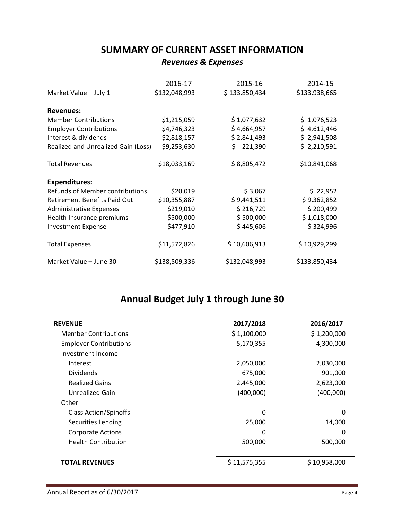## **SUMMARY OF CURRENT ASSET INFORMATION**

### *Revenues & Expenses*

|                                        | 2016-17       | 2015-16        | 2014-15       |
|----------------------------------------|---------------|----------------|---------------|
| Market Value - July 1                  | \$132,048,993 | \$133,850,434  | \$133,938,665 |
| <b>Revenues:</b>                       |               |                |               |
| <b>Member Contributions</b>            | \$1,215,059   | \$1,077,632    | \$1,076,523   |
| <b>Employer Contributions</b>          | \$4,746,323   | \$4,664,957    | \$4,612,446   |
| Interest & dividends                   | \$2,818,157   | \$2,841,493    | \$2,941,508   |
| Realized and Unrealized Gain (Loss)    | \$9,253,630   | 221,390<br>\$. | \$2,210,591   |
| <b>Total Revenues</b>                  | \$18,033,169  | \$8,805,472    | \$10,841,068  |
| <b>Expenditures:</b>                   |               |                |               |
| <b>Refunds of Member contributions</b> | \$20,019      | \$3,067        | \$22,952      |
| <b>Retirement Benefits Paid Out</b>    | \$10,355,887  | \$9,441,511    | \$9,362,852   |
| <b>Administrative Expenses</b>         | \$219,010     | \$216,729      | \$200,499     |
| Health Insurance premiums              | \$500,000     | \$500,000      | \$1,018,000   |
| <b>Investment Expense</b>              | \$477,910     | \$445,606      | \$324,996     |
| <b>Total Expenses</b>                  | \$11,572,826  | \$10,606,913   | \$10,929,299  |
| Market Value - June 30                 | \$138,509,336 | \$132,048,993  | \$133,850,434 |

# **Annual Budget July 1 through June 30**

| <b>REVENUE</b>                | 2017/2018    | 2016/2017    |
|-------------------------------|--------------|--------------|
| <b>Member Contributions</b>   | \$1,100,000  | \$1,200,000  |
| <b>Employer Contributions</b> | 5,170,355    | 4,300,000    |
| Investment Income             |              |              |
| Interest                      | 2,050,000    | 2,030,000    |
| <b>Dividends</b>              | 675,000      | 901,000      |
| <b>Realized Gains</b>         | 2,445,000    | 2,623,000    |
| Unrealized Gain               | (400,000)    | (400,000)    |
| Other                         |              |              |
| <b>Class Action/Spinoffs</b>  | 0            | $\Omega$     |
| Securities Lending            | 25,000       | 14,000       |
| <b>Corporate Actions</b>      | 0            | 0            |
| <b>Health Contribution</b>    | 500,000      | 500,000      |
| <b>TOTAL REVENUES</b>         | \$11,575,355 | \$10,958,000 |
|                               |              |              |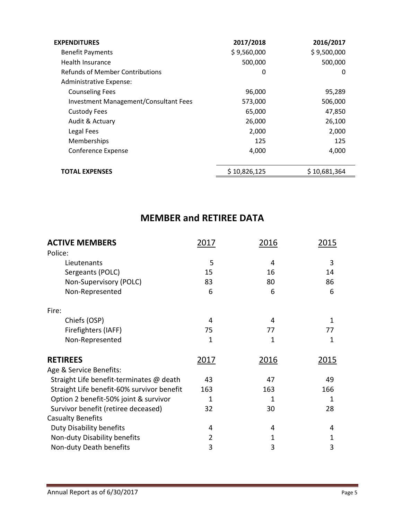| <b>EXPENDITURES</b>                          | 2017/2018    | 2016/2017    |
|----------------------------------------------|--------------|--------------|
| <b>Benefit Payments</b>                      | \$9,560,000  | \$9,500,000  |
| Health Insurance                             | 500,000      | 500,000      |
| <b>Refunds of Member Contributions</b>       | 0            | 0            |
| Administrative Expense:                      |              |              |
| <b>Counseling Fees</b>                       | 96,000       | 95,289       |
| <b>Investment Management/Consultant Fees</b> | 573,000      | 506,000      |
| <b>Custody Fees</b>                          | 65,000       | 47,850       |
| Audit & Actuary                              | 26,000       | 26,100       |
| Legal Fees                                   | 2,000        | 2,000        |
| Memberships                                  | 125          | 125          |
| Conference Expense                           | 4,000        | 4,000        |
|                                              |              |              |
| <b>TOTAL EXPENSES</b>                        | \$10,826,125 | \$10,681,364 |

## **MEMBER and RETIREE DATA**

| <b>ACTIVE MEMBERS</b>                      | 2017           | 2016        | 2015 |
|--------------------------------------------|----------------|-------------|------|
| Police:                                    |                |             |      |
| Lieutenants                                | 5              | 4           | 3    |
| Sergeants (POLC)                           | 15             | 16          | 14   |
| Non-Supervisory (POLC)                     | 83             | 80          | 86   |
| Non-Represented                            | 6              | 6           | 6    |
| Fire:                                      |                |             |      |
| Chiefs (OSP)                               | 4              | 4           | 1    |
| Firefighters (IAFF)                        | 75             | 77          | 77   |
| Non-Represented                            | 1              | 1           | 1    |
| <b>RETIREES</b>                            | 2017           | <u>2016</u> | 2015 |
| Age & Service Benefits:                    |                |             |      |
| Straight Life benefit-terminates @ death   | 43             | 47          | 49   |
| Straight Life benefit-60% survivor benefit | 163            | 163         | 166  |
| Option 2 benefit-50% joint & survivor      | 1              | 1           | 1    |
| Survivor benefit (retiree deceased)        | 32             | 30          | 28   |
| <b>Casualty Benefits</b>                   |                |             |      |
| <b>Duty Disability benefits</b>            | 4              | 4           | 4    |
| Non-duty Disability benefits               | $\overline{2}$ | 1           | 1    |
| Non-duty Death benefits                    | 3              | 3           | 3    |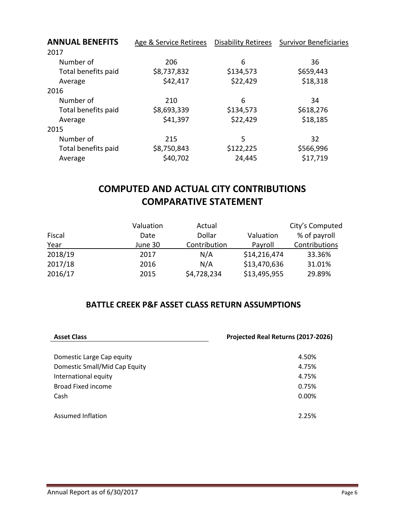| <b>ANNUAL BENEFITS</b> | Age & Service Retirees | <b>Disability Retirees</b> | <b>Survivor Beneficiaries</b> |  |
|------------------------|------------------------|----------------------------|-------------------------------|--|
| 2017                   |                        |                            |                               |  |
| Number of              | 206                    | 6                          | 36                            |  |
| Total benefits paid    | \$8,737,832            | \$134,573                  | \$659,443                     |  |
| Average                | \$42,417               | \$22,429                   | \$18,318                      |  |
| 2016                   |                        |                            |                               |  |
| Number of              | 210                    | 6                          | 34                            |  |
| Total benefits paid    | \$8,693,339            | \$134,573                  | \$618,276                     |  |
| Average                | \$41,397               | \$22,429                   | \$18,185                      |  |
| 2015                   |                        |                            |                               |  |
| Number of              | 215                    | 5                          | 32                            |  |
| Total benefits paid    | \$8,750,843            | \$122,225                  | \$566,996                     |  |
| Average                | \$40,702               | 24,445                     | \$17,719                      |  |

# **COMPUTED AND ACTUAL CITY CONTRIBUTIONS COMPARATIVE STATEMENT**

|         | Valuation | Actual       |              | City's Computed |
|---------|-----------|--------------|--------------|-----------------|
| Fiscal  | Date      | Dollar       | Valuation    | % of payroll    |
| Year    | June 30   | Contribution | Payroll      | Contributions   |
| 2018/19 | 2017      | N/A          | \$14,216,474 | 33.36%          |
| 2017/18 | 2016      | N/A          | \$13,470,636 | 31.01%          |
| 2016/17 | 2015      | \$4,728,234  | \$13,495,955 | 29.89%          |

### **BATTLE CREEK P&F ASSET CLASS RETURN ASSUMPTIONS**

| <b>Asset Class</b>            | Projected Real Returns (2017-2026) |  |  |
|-------------------------------|------------------------------------|--|--|
|                               |                                    |  |  |
| Domestic Large Cap equity     | 4.50%                              |  |  |
| Domestic Small/Mid Cap Equity | 4.75%                              |  |  |
| International equity          | 4.75%                              |  |  |
| Broad Fixed income            | 0.75%                              |  |  |
| Cash                          | 0.00%                              |  |  |
|                               |                                    |  |  |
| <b>Assumed Inflation</b>      | 2.25%                              |  |  |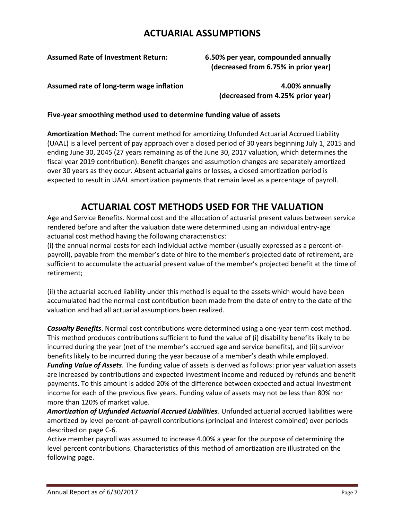### **ACTUARIAL ASSUMPTIONS**

**Assumed Rate of Investment Return: 6.50% per year, compounded annually (decreased from 6.75% in prior year)**

**Assumed rate of long-term wage inflation 4.00% annually**

**(decreased from 4.25% prior year)**

#### **Five-year smoothing method used to determine funding value of assets**

**Amortization Method:** The current method for amortizing Unfunded Actuarial Accrued Liability (UAAL) is a level percent of pay approach over a closed period of 30 years beginning July 1, 2015 and ending June 30, 2045 (27 years remaining as of the June 30, 2017 valuation, which determines the fiscal year 2019 contribution). Benefit changes and assumption changes are separately amortized over 30 years as they occur. Absent actuarial gains or losses, a closed amortization period is expected to result in UAAL amortization payments that remain level as a percentage of payroll.

## **ACTUARIAL COST METHODS USED FOR THE VALUATION**

Age and Service Benefits. Normal cost and the allocation of actuarial present values between service rendered before and after the valuation date were determined using an individual entry-age actuarial cost method having the following characteristics:

(i) the annual normal costs for each individual active member (usually expressed as a percent-ofpayroll), payable from the member's date of hire to the member's projected date of retirement, are sufficient to accumulate the actuarial present value of the member's projected benefit at the time of retirement;

(ii) the actuarial accrued liability under this method is equal to the assets which would have been accumulated had the normal cost contribution been made from the date of entry to the date of the valuation and had all actuarial assumptions been realized.

*Casualty Benefits*. Normal cost contributions were determined using a one-year term cost method. This method produces contributions sufficient to fund the value of (i) disability benefits likely to be incurred during the year (net of the member's accrued age and service benefits), and (ii) survivor benefits likely to be incurred during the year because of a member's death while employed. *Funding Value of Assets*. The funding value of assets is derived as follows: prior year valuation assets are increased by contributions and expected investment income and reduced by refunds and benefit payments. To this amount is added 20% of the difference between expected and actual investment income for each of the previous five years. Funding value of assets may not be less than 80% nor more than 120% of market value.

*Amortization of Unfunded Actuarial Accrued Liabilities*. Unfunded actuarial accrued liabilities were amortized by level percent-of-payroll contributions (principal and interest combined) over periods described on page C-6.

Active member payroll was assumed to increase 4.00% a year for the purpose of determining the level percent contributions. Characteristics of this method of amortization are illustrated on the following page.